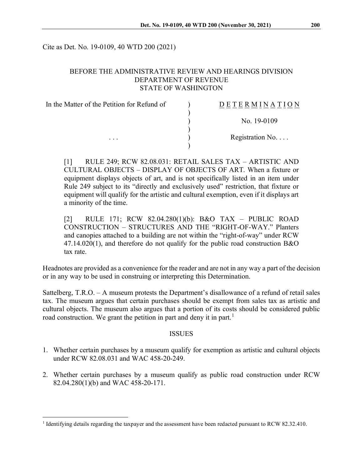Cite as Det. No. 19-0109, 40 WTD 200 (2021)

### BEFORE THE ADMINISTRATIVE REVIEW AND HEARINGS DIVISION DEPARTMENT OF REVENUE STATE OF WASHINGTON

| In the Matter of the Petition for Refund of | DETERMINATION            |
|---------------------------------------------|--------------------------|
|                                             | No. 19-0109              |
| $\cdots$                                    | Registration No. $\dots$ |

[1] RULE 249; RCW 82.08.031: RETAIL SALES TAX – ARTISTIC AND CULTURAL OBJECTS – DISPLAY OF OBJECTS OF ART. When a fixture or equipment displays objects of art, and is not specifically listed in an item under Rule 249 subject to its "directly and exclusively used" restriction, that fixture or equipment will qualify for the artistic and cultural exemption, even if it displays art a minority of the time.

[2] RULE 171; RCW 82.04.280(1)(b): B&O TAX – PUBLIC ROAD CONSTRUCTION – STRUCTURES AND THE "RIGHT-OF-WAY." Planters and canopies attached to a building are not within the "right-of-way" under RCW  $47.14.020(1)$ , and therefore do not qualify for the public road construction B&O tax rate.

Headnotes are provided as a convenience for the reader and are not in any way a part of the decision or in any way to be used in construing or interpreting this Determination.

Sattelberg, T.R.O. – A museum protests the Department's disallowance of a refund of retail sales tax. The museum argues that certain purchases should be exempt from sales tax as artistic and cultural objects. The museum also argues that a portion of its costs should be considered public road construction. We grant the petition in part and deny it in part.<sup>[1](#page-0-0)</sup>

#### ISSUES

- 1. Whether certain purchases by a museum qualify for exemption as artistic and cultural objects under RCW 82.08.031 and WAC 458-20-249.
- 2. Whether certain purchases by a museum qualify as public road construction under RCW 82.04.280(1)(b) and WAC 458-20-171.

<span id="page-0-0"></span><sup>1</sup> Identifying details regarding the taxpayer and the assessment have been redacted pursuant to RCW 82.32.410.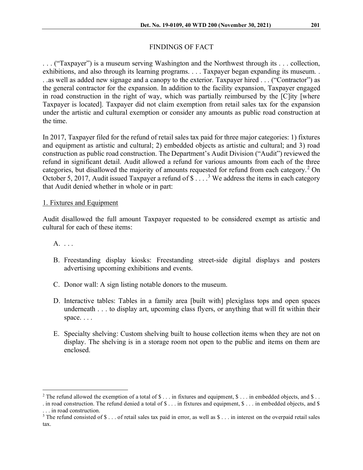# FINDINGS OF FACT

. . . ("Taxpayer") is a museum serving Washington and the Northwest through its . . . collection, exhibitions, and also through its learning programs. . . . Taxpayer began expanding its museum. . . .as well as added new signage and a canopy to the exterior. Taxpayer hired . . . ("Contractor") as the general contractor for the expansion. In addition to the facility expansion, Taxpayer engaged in road construction in the right of way, which was partially reimbursed by the [C]ity [where Taxpayer is located]. Taxpayer did not claim exemption from retail sales tax for the expansion under the artistic and cultural exemption or consider any amounts as public road construction at the time.

In 2017, Taxpayer filed for the refund of retail sales tax paid for three major categories: 1) fixtures and equipment as artistic and cultural; 2) embedded objects as artistic and cultural; and 3) road construction as public road construction. The Department's Audit Division ("Audit") reviewed the refund in significant detail. Audit allowed a refund for various amounts from each of the three categories, but disallowed the majority of amounts requested for refund from each category.<sup>[2](#page-1-0)</sup> On October 5, 2017, Audit issued Taxpayer a refund of  $$...$ <sup>[3](#page-1-1)</sup> We address the items in each category that Audit denied whether in whole or in part:

## 1. Fixtures and Equipment

Audit disallowed the full amount Taxpayer requested to be considered exempt as artistic and cultural for each of these items:

A. . . .

- B. Freestanding display kiosks: Freestanding street-side digital displays and posters advertising upcoming exhibitions and events.
- C. Donor wall: A sign listing notable donors to the museum.
- D. Interactive tables: Tables in a family area [built with] plexiglass tops and open spaces underneath . . . to display art, upcoming class flyers, or anything that will fit within their space. . . .
- E. Specialty shelving: Custom shelving built to house collection items when they are not on display. The shelving is in a storage room not open to the public and items on them are enclosed.

<span id="page-1-0"></span><sup>&</sup>lt;sup>2</sup> The refund allowed the exemption of a total of \$ . . . in fixtures and equipment,  $\$\dots$  in embedded objects, and  $\$\dots$ 

<sup>.</sup> in road construction. The refund denied a total of  $\S...$  in fixtures and equipment,  $\S...$  in embedded objects, and  $\S$ . . . in road construction.

<span id="page-1-1"></span><sup>&</sup>lt;sup>3</sup> The refund consisted of  $\$ \dots$  of retail sales tax paid in error, as well as  $\$ \dots$  in interest on the overpaid retail sales tax.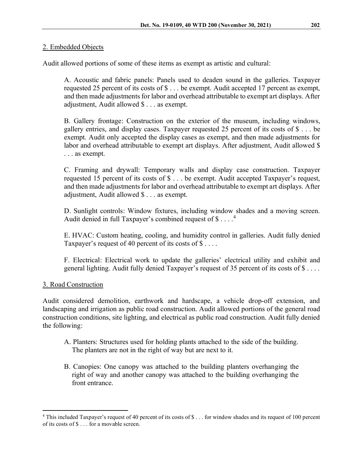Audit allowed portions of some of these items as exempt as artistic and cultural:

A. Acoustic and fabric panels: Panels used to deaden sound in the galleries. Taxpayer requested 25 percent of its costs of \$ . . . be exempt. Audit accepted 17 percent as exempt, and then made adjustments for labor and overhead attributable to exempt art displays. After adjustment, Audit allowed \$ . . . as exempt.

B. Gallery frontage: Construction on the exterior of the museum, including windows, gallery entries, and display cases. Taxpayer requested 25 percent of its costs of \$ . . . be exempt. Audit only accepted the display cases as exempt, and then made adjustments for labor and overhead attributable to exempt art displays. After adjustment, Audit allowed \$ . . . as exempt.

C. Framing and drywall: Temporary walls and display case construction. Taxpayer requested 15 percent of its costs of \$ . . . be exempt. Audit accepted Taxpayer's request, and then made adjustments for labor and overhead attributable to exempt art displays. After adjustment, Audit allowed \$ . . . as exempt.

D. Sunlight controls: Window fixtures, including window shades and a moving screen. Audit denied in full Taxpayer's combined request of \$ . . . .<sup>[4](#page-2-0)</sup>

E. HVAC: Custom heating, cooling, and humidity control in galleries. Audit fully denied Taxpayer's request of 40 percent of its costs of  $\$\dots$ .

F. Electrical: Electrical work to update the galleries' electrical utility and exhibit and general lighting. Audit fully denied Taxpayer's request of 35 percent of its costs of \$ . . . .

3. Road Construction

Audit considered demolition, earthwork and hardscape, a vehicle drop-off extension, and landscaping and irrigation as public road construction. Audit allowed portions of the general road construction conditions, site lighting, and electrical as public road construction. Audit fully denied the following:

- A. Planters: Structures used for holding plants attached to the side of the building. The planters are not in the right of way but are next to it.
- B. Canopies: One canopy was attached to the building planters overhanging the right of way and another canopy was attached to the building overhanging the front entrance.

<span id="page-2-0"></span><sup>&</sup>lt;sup>4</sup> This included Taxpayer's request of 40 percent of its costs of \$ . . . for window shades and its request of 100 percent of its costs of \$ . . . for a movable screen.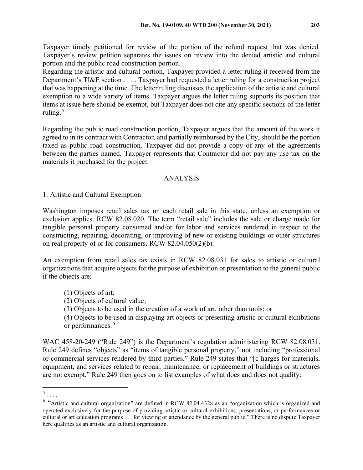Taxpayer timely petitioned for review of the portion of the refund request that was denied. Taxpayer's review petition separates the issues on review into the denied artistic and cultural portion and the public road construction portion.

Regarding the artistic and cultural portion, Taxpayer provided a letter ruling it received from the Department's TI&E section . . . . Taxpayer had requested a letter ruling for a construction project that was happening at the time. The letter ruling discusses the application of the artistic and cultural exemption to a wide variety of items. Taxpayer argues the letter ruling supports its position that items at issue here should be exempt, but Taxpayer does not cite any specific sections of the letter ruling. [5](#page-3-0)

Regarding the public road construction portion, Taxpayer argues that the amount of the work it agreed to in its contract with Contractor, and partially reimbursed by the City, should be the portion taxed as public road construction. Taxpayer did not provide a copy of any of the agreements between the parties named. Taxpayer represents that Contractor did not pay any use tax on the materials it purchased for the project.

## ANALYSIS

### 1. Artistic and Cultural Exemption

Washington imposes retail sales tax on each retail sale in this state, unless an exemption or exclusion applies. RCW 82.08.020. The term "retail sale" includes the sale or charge made for tangible personal property consumed and/or for labor and services rendered in respect to the constructing, repairing, decorating, or improving of new or existing buildings or other structures on real property of or for consumers. RCW 82.04.050(2)(b).

An exemption from retail sales tax exists in RCW 82.08.031 for sales to artistic or cultural organizations that acquire objects for the purpose of exhibition or presentation to the general public if the objects are:

- (1) Objects of art;
- (2) Objects of cultural value;
- (3) Objects to be used in the creation of a work of art, other than tools; or
- (4) Objects to be used in displaying art objects or presenting artistic or cultural exhibitions or performances.<sup>[6](#page-3-1)</sup>

WAC 458-20-249 ("Rule 249") is the Department's regulation administering RCW 82.08.031. Rule 249 defines "objects" as "items of tangible personal property," not including "professional or commercial services rendered by third parties." Rule 249 states that "[c]harges for materials, equipment, and services related to repair, maintenance, or replacement of buildings or structures are not exempt." Rule 249 then goes on to list examples of what does and does not qualify:

<span id="page-3-0"></span><sup>5</sup> . . . .

<span id="page-3-1"></span><sup>6</sup> "Artistic and cultural organization" are defined in RCW 82.04.4328 as an "organization which is organized and operated exclusively for the purpose of providing artistic or cultural exhibitions, presentations, or performances or cultural or art education programs . . . for viewing or attendance by the general public." There is no dispute Taxpayer here qualifies as an artistic and cultural organization.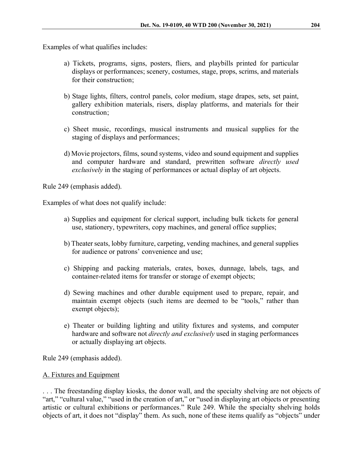Examples of what qualifies includes:

- a) Tickets, programs, signs, posters, fliers, and playbills printed for particular displays or performances; scenery, costumes, stage, props, scrims, and materials for their construction;
- b) Stage lights, filters, control panels, color medium, stage drapes, sets, set paint, gallery exhibition materials, risers, display platforms, and materials for their construction;
- c) Sheet music, recordings, musical instruments and musical supplies for the staging of displays and performances;
- d) Movie projectors, films, sound systems, video and sound equipment and supplies and computer hardware and standard, prewritten software *directly used exclusively* in the staging of performances or actual display of art objects.

Rule 249 (emphasis added).

Examples of what does not qualify include:

- a) Supplies and equipment for clerical support, including bulk tickets for general use, stationery, typewriters, copy machines, and general office supplies;
- b) Theater seats, lobby furniture, carpeting, vending machines, and general supplies for audience or patrons' convenience and use;
- c) Shipping and packing materials, crates, boxes, dunnage, labels, tags, and container-related items for transfer or storage of exempt objects;
- d) Sewing machines and other durable equipment used to prepare, repair, and maintain exempt objects (such items are deemed to be "tools," rather than exempt objects);
- e) Theater or building lighting and utility fixtures and systems, and computer hardware and software not *directly and exclusively* used in staging performances or actually displaying art objects.

Rule 249 (emphasis added).

## A. Fixtures and Equipment

. . . The freestanding display kiosks, the donor wall, and the specialty shelving are not objects of "art," "cultural value," "used in the creation of art," or "used in displaying art objects or presenting artistic or cultural exhibitions or performances." Rule 249. While the specialty shelving holds objects of art, it does not "display" them. As such, none of these items qualify as "objects" under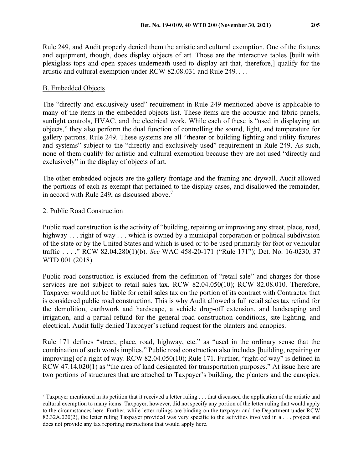Rule 249, and Audit properly denied them the artistic and cultural exemption. One of the fixtures and equipment, though, does display objects of art. Those are the interactive tables [built with plexiglass tops and open spaces underneath used to display art that, therefore,] qualify for the artistic and cultural exemption under RCW 82.08.031 and Rule 249. . . .

# B. Embedded Objects

The "directly and exclusively used" requirement in Rule 249 mentioned above is applicable to many of the items in the embedded objects list. These items are the acoustic and fabric panels, sunlight controls, HVAC, and the electrical work. While each of these is "used in displaying art objects," they also perform the dual function of controlling the sound, light, and temperature for gallery patrons. Rule 249. These systems are all "theater or building lighting and utility fixtures and systems" subject to the "directly and exclusively used" requirement in Rule 249. As such, none of them qualify for artistic and cultural exemption because they are not used "directly and exclusively" in the display of objects of art.

The other embedded objects are the gallery frontage and the framing and drywall. Audit allowed the portions of each as exempt that pertained to the display cases, and disallowed the remainder, in accord with Rule 249, as discussed above.<sup>[7](#page-5-0)</sup>

## 2. Public Road Construction

Public road construction is the activity of "building, repairing or improving any street, place, road, highway . . . right of way . . . which is owned by a municipal corporation or political subdivision of the state or by the United States and which is used or to be used primarily for foot or vehicular traffic . . . ." RCW 82.04.280(1)(b). *See* WAC 458-20-171 ("Rule 171"); Det. No. 16-0230, 37 WTD 001 (2018).

Public road construction is excluded from the definition of "retail sale" and charges for those services are not subject to retail sales tax. RCW 82.04.050(10); RCW 82.08.010. Therefore, Taxpayer would not be liable for retail sales tax on the portion of its contract with Contractor that is considered public road construction. This is why Audit allowed a full retail sales tax refund for the demolition, earthwork and hardscape, a vehicle drop-off extension, and landscaping and irrigation, and a partial refund for the general road construction conditions, site lighting, and electrical. Audit fully denied Taxpayer's refund request for the planters and canopies.

Rule 171 defines "street, place, road, highway, etc." as "used in the ordinary sense that the combination of such words implies." Public road construction also includes [building, repairing or improving] of a right of way. RCW 82.04.050(10); Rule 171. Further, "right-of-way" is defined in RCW 47.14.020(1) as "the area of land designated for transportation purposes." At issue here are two portions of structures that are attached to Taxpayer's building, the planters and the canopies.

<span id="page-5-0"></span> $\frac{7}{7}$  Taxpayer mentioned in its petition that it received a letter ruling . . . that discussed the application of the artistic and cultural exemption to many items. Taxpayer, however, did not specify any portion of the letter ruling that would apply to the circumstances here. Further, while letter rulings are binding on the taxpayer and the Department under RCW 82.32A.020(2), the letter ruling Taxpayer provided was very specific to the activities involved in a . . . project and does not provide any tax reporting instructions that would apply here.